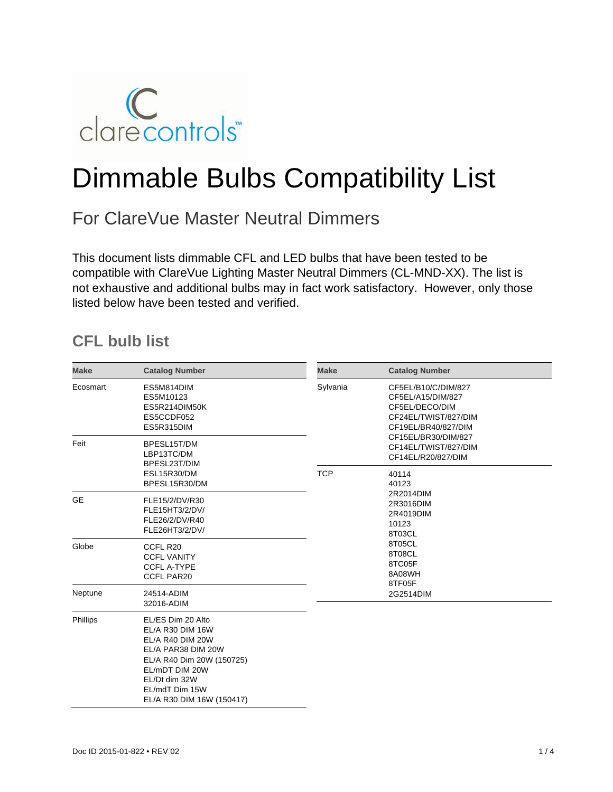

# Dimmable Bulbs Compatibility List

## For ClareVue Master Neutral Dimmers

This document lists dimmable CFL and LED bulbs that have been tested to be compatible with ClareVue Lighting Master Neutral Dimmers (CL-MND-XX). The list is not exhaustive and additional bulbs may in fact work satisfactory. However, only those listed below have been tested and verified.

### **CFL bulb list**

| <b>Make</b> | <b>Catalog Number</b>                                                                                                                                                                          | <b>Make</b> | <b>Catalog Number</b>                                                                                                                                                                                        |  |  |
|-------------|------------------------------------------------------------------------------------------------------------------------------------------------------------------------------------------------|-------------|--------------------------------------------------------------------------------------------------------------------------------------------------------------------------------------------------------------|--|--|
| Ecosmart    | ES5M814DIM<br>ES5M10123<br>ES5R214DIM50K<br>ES5CCDF052<br>ES5R315DIM                                                                                                                           | Sylvania    | CF5EL/B10/C/DIM/827<br>CF5EL/A15/DIM/827<br>CF5EL/DECO/DIM<br>CF24EL/TWIST/827/DIM<br>CF19EL/BR40/827/DIM                                                                                                    |  |  |
| Feit        | BPESL15T/DM<br>LBP13TC/DM<br>BPESL23T/DIM<br><b>ESL15R30/DM</b><br>BPESL15R30/DM                                                                                                               |             | CF15EL/BR30/DIM/827<br>CF14EL/TWIST/827/DIM<br>CF14EL/R20/827/DIM<br>40114<br>40123<br>2R2014DIM<br>2R3016DIM<br>2R4019DIM<br>10123<br>8T03CL<br>8T05CL<br>8T08CL<br>8TC05F<br>8A08WH<br>8TF05F<br>2G2514DIM |  |  |
|             |                                                                                                                                                                                                | <b>TCP</b>  |                                                                                                                                                                                                              |  |  |
| <b>GE</b>   | FLE15/2/DV/R30<br>FLE15HT3/2/DV/<br>FLE26/2/DV/R40<br>FLE26HT3/2/DV/                                                                                                                           |             |                                                                                                                                                                                                              |  |  |
| Globe       | CCFL R20<br><b>CCFL VANITY</b><br><b>CCFL A-TYPE</b><br><b>CCFL PAR20</b>                                                                                                                      |             |                                                                                                                                                                                                              |  |  |
| Neptune     | 24514-ADIM<br>32016-ADIM                                                                                                                                                                       |             |                                                                                                                                                                                                              |  |  |
| Phillips    | EL/ES Dim 20 Alto<br>EL/A R30 DIM 16W<br>EL/A R40 DIM 20W<br>EL/A PAR38 DIM 20W<br>EL/A R40 Dim 20W (150725)<br>EL/mDT DIM 20W<br>EL/Dt dim 32W<br>EL/mdT Dim 15W<br>EL/A R30 DIM 16W (150417) |             |                                                                                                                                                                                                              |  |  |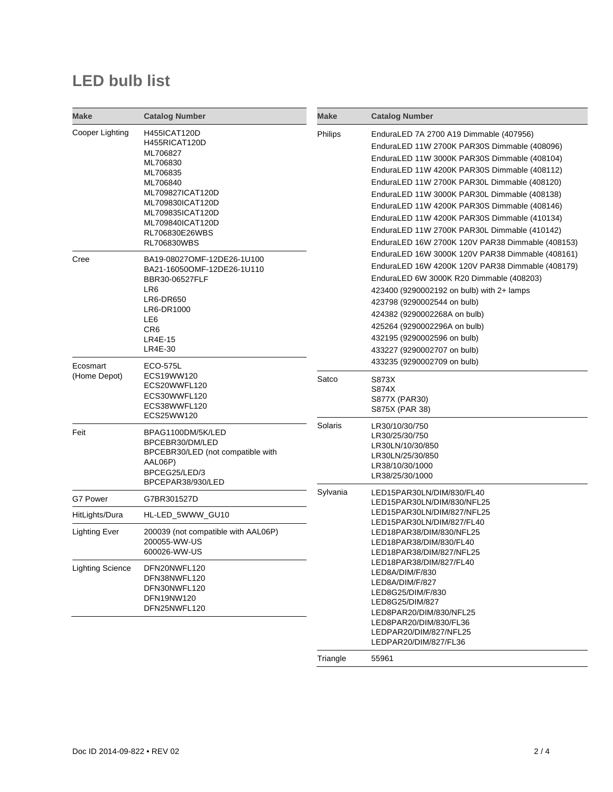## **LED bulb list**

| <b>Make</b>              | <b>Catalog Number</b>                                                                                                                                                                                        | <b>Make</b> | <b>Catalog Number</b>                                                                                                                                                                                                                                                                                                                                                                                                                                                                                                                                                                                                                                                                                                                                                                                                                                     |
|--------------------------|--------------------------------------------------------------------------------------------------------------------------------------------------------------------------------------------------------------|-------------|-----------------------------------------------------------------------------------------------------------------------------------------------------------------------------------------------------------------------------------------------------------------------------------------------------------------------------------------------------------------------------------------------------------------------------------------------------------------------------------------------------------------------------------------------------------------------------------------------------------------------------------------------------------------------------------------------------------------------------------------------------------------------------------------------------------------------------------------------------------|
| Cooper Lighting          | <b>H455ICAT120D</b><br>H455RICAT120D<br>ML706827<br>ML706830<br>ML706835<br>ML706840<br>ML709827ICAT120D<br>ML709830ICAT120D<br>ML709835ICAT120D<br>ML709840ICAT120D<br>RL706830E26WBS<br><b>RL706830WBS</b> | Philips     | EnduraLED 7A 2700 A19 Dimmable (407956)<br>EnduraLED 11W 2700K PAR30S Dimmable (408096)<br>EnduraLED 11W 3000K PAR30S Dimmable (408104)<br>EnduraLED 11W 4200K PAR30S Dimmable (408112)<br>EnduraLED 11W 2700K PAR30L Dimmable (408120)<br>EnduraLED 11W 3000K PAR30L Dimmable (408138)<br>EnduraLED 11W 4200K PAR30S Dimmable (408146)<br>EnduraLED 11W 4200K PAR30S Dimmable (410134)<br>EnduraLED 11W 2700K PAR30L Dimmable (410142)<br>EnduraLED 16W 2700K 120V PAR38 Dimmable (408153)<br>EnduraLED 16W 3000K 120V PAR38 Dimmable (408161)<br>EnduraLED 16W 4200K 120V PAR38 Dimmable (408179)<br>EnduraLED 6W 3000K R20 Dimmable (408203)<br>423400 (9290002192 on bulb) with 2+ lamps<br>423798 (9290002544 on bulb)<br>424382 (9290002268A on bulb)<br>425264 (9290002296A on bulb)<br>432195 (9290002596 on bulb)<br>433227 (9290002707 on bulb) |
| Cree                     | BA19-08027OMF-12DE26-1U100<br>BA21-16050OMF-12DE26-1U110<br>BBR30-06527FLF<br>LR6<br>LR6-DR650<br>LR6-DR1000<br>LE6<br>CR <sub>6</sub><br><b>LR4E-15</b><br>LR4E-30                                          |             |                                                                                                                                                                                                                                                                                                                                                                                                                                                                                                                                                                                                                                                                                                                                                                                                                                                           |
| Ecosmart<br>(Home Depot) | ECO-575L<br>ECS19WW120<br>ECS20WWFL120<br>ECS30WWFL120<br>ECS38WWFL120<br>ECS25WW120                                                                                                                         | Satco       | 433235 (9290002709 on bulb)<br>S873X<br>S874X<br>S877X (PAR30)<br>S875X (PAR 38)                                                                                                                                                                                                                                                                                                                                                                                                                                                                                                                                                                                                                                                                                                                                                                          |
| Feit                     | BPAG1100DM/5K/LED<br>BPCEBR30/DM/LED<br>BPCEBR30/LED (not compatible with<br>AAL06P)<br>BPCEG25/LED/3<br>BPCEPAR38/930/LED                                                                                   | Solaris     | LR30/10/30/750<br>LR30/25/30/750<br>LR30LN/10/30/850<br>LR30LN/25/30/850<br>LR38/10/30/1000<br>LR38/25/30/1000                                                                                                                                                                                                                                                                                                                                                                                                                                                                                                                                                                                                                                                                                                                                            |
| G7 Power                 | G7BR301527D                                                                                                                                                                                                  | Sylvania    | LED15PAR30LN/DIM/830/FL40<br>LED15PAR30LN/DIM/830/NFL25                                                                                                                                                                                                                                                                                                                                                                                                                                                                                                                                                                                                                                                                                                                                                                                                   |
| HitLights/Dura           | HL-LED_5WWW_GU10                                                                                                                                                                                             |             | LED15PAR30LN/DIM/827/NFL25                                                                                                                                                                                                                                                                                                                                                                                                                                                                                                                                                                                                                                                                                                                                                                                                                                |
| <b>Lighting Ever</b>     | 200039 (not compatible with AAL06P)<br>200055-WW-US<br>600026-WW-US                                                                                                                                          |             | LED15PAR30LN/DIM/827/FL40<br>LED18PAR38/DIM/830/NFL25<br>LED18PAR38/DIM/830/FL40<br>LED18PAR38/DIM/827/NFL25                                                                                                                                                                                                                                                                                                                                                                                                                                                                                                                                                                                                                                                                                                                                              |
| <b>Lighting Science</b>  | DFN20NWFL120<br>DFN38NWFL120<br>DFN30NWFL120<br>DFN19NW120<br>DFN25NWFL120                                                                                                                                   |             | LED18PAR38/DIM/827/FL40<br>LED8A/DIM/F/830<br>LED8A/DIM/F/827<br>LED8G25/DIM/F/830<br>LED8G25/DIM/827<br>LED8PAR20/DIM/830/NFL25<br>LED8PAR20/DIM/830/FL36<br>LEDPAR20/DIM/827/NFL25<br>LEDPAR20/DIM/827/FL36                                                                                                                                                                                                                                                                                                                                                                                                                                                                                                                                                                                                                                             |
|                          |                                                                                                                                                                                                              | Triangle    | 55961                                                                                                                                                                                                                                                                                                                                                                                                                                                                                                                                                                                                                                                                                                                                                                                                                                                     |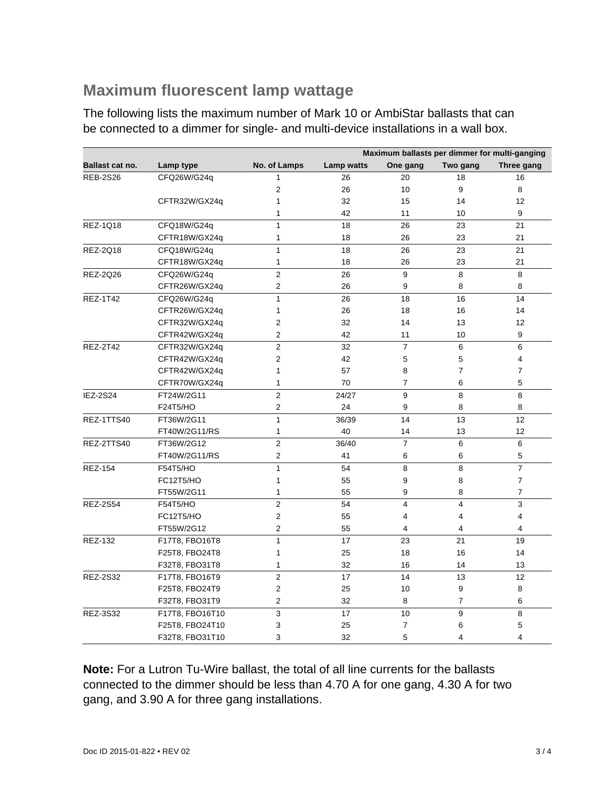#### **Maximum fluorescent lamp wattage**

The following lists the maximum number of Mark 10 or AmbiStar ballasts that can be connected to a dimmer for single- and multi-device installations in a wall box.

|                 |                 |                | Maximum ballasts per dimmer for multi-ganging |                |                         |                |
|-----------------|-----------------|----------------|-----------------------------------------------|----------------|-------------------------|----------------|
| Ballast cat no. | Lamp type       | No. of Lamps   | Lamp watts                                    | One gang       | Two gang                | Three gang     |
| <b>REB-2S26</b> | CFQ26W/G24q     | 1              | 26                                            | 20             | 18                      | 16             |
|                 |                 | $\overline{2}$ | 26                                            | 10             | 9                       | 8              |
|                 | CFTR32W/GX24q   | 1              | 32                                            | 15             | 14                      | 12             |
|                 |                 | 1              | 42                                            | 11             | 10                      | 9              |
| <b>REZ-1Q18</b> | CFQ18W/G24q     | 1              | 18                                            | 26             | 23                      | 21             |
|                 | CFTR18W/GX24q   | 1              | 18                                            | 26             | 23                      | 21             |
| REZ-2Q18        | CFQ18W/G24q     | 1              | 18                                            | 26             | 23                      | 21             |
|                 | CFTR18W/GX24q   | 1              | 18                                            | 26             | 23                      | 21             |
| REZ-2Q26        | CFQ26W/G24q     | $\overline{2}$ | 26                                            | 9              | 8                       | 8              |
|                 | CFTR26W/GX24q   | $\overline{c}$ | 26                                            | 9              | 8                       | 8              |
| <b>REZ-1T42</b> | CFQ26W/G24q     | 1              | 26                                            | 18             | 16                      | 14             |
|                 | CFTR26W/GX24q   | 1              | 26                                            | 18             | 16                      | 14             |
|                 | CFTR32W/GX24q   | 2              | 32                                            | 14             | 13                      | 12             |
|                 | CFTR42W/GX24q   | 2              | 42                                            | 11             | 10                      | 9              |
| <b>REZ-2T42</b> | CFTR32W/GX24q   | $\overline{2}$ | 32                                            | $\overline{7}$ | 6                       | 6              |
|                 | CFTR42W/GX24q   | $\overline{2}$ | 42                                            | 5              | 5                       | 4              |
|                 | CFTR42W/GX24q   | 1              | 57                                            | 8              | 7                       | $\overline{7}$ |
|                 | CFTR70W/GX24q   | 1              | 70                                            | $\overline{7}$ | 6                       | 5              |
| <b>IEZ-2S24</b> | FT24W/2G11      | $\overline{2}$ | 24/27                                         | 9              | 8                       | 8              |
|                 | F24T5/HO        | $\overline{2}$ | 24                                            | 9              | 8                       | 8              |
| REZ-1TTS40      | FT36W/2G11      | $\mathbf{1}$   | 36/39                                         | 14             | 13                      | 12             |
|                 | FT40W/2G11/RS   | $\mathbf{1}$   | 40                                            | 14             | 13                      | 12             |
| REZ-2TTS40      | FT36W/2G12      | $\overline{2}$ | 36/40                                         | $\overline{7}$ | 6                       | 6              |
|                 | FT40W/2G11/RS   | 2              | 41                                            | 6              | 6                       | 5              |
| <b>REZ-154</b>  | F54T5/HO        | $\mathbf{1}$   | 54                                            | 8              | 8                       | $\overline{7}$ |
|                 | FC12T5/HO       | 1              | 55                                            | 9              | 8                       | $\overline{7}$ |
|                 | FT55W/2G11      | 1              | 55                                            | 9              | 8                       | $\overline{7}$ |
| <b>REZ-2S54</b> | F54T5/HO        | $\overline{2}$ | 54                                            | 4              | $\overline{\mathbf{4}}$ | 3              |
|                 | FC12T5/HO       | 2              | 55                                            | 4              | 4                       | $\overline{4}$ |
|                 | FT55W/2G12      | $\overline{2}$ | 55                                            | 4              | 4                       | 4              |
| <b>REZ-132</b>  | F17T8, FBO16T8  | $\mathbf{1}$   | 17                                            | 23             | 21                      | 19             |
|                 | F25T8, FBO24T8  | 1              | 25                                            | 18             | 16                      | 14             |
|                 | F32T8, FBO31T8  | 1              | 32                                            | 16             | 14                      | 13             |
| <b>REZ-2S32</b> | F17T8, FBO16T9  | $\overline{2}$ | 17                                            | 14             | 13                      | 12             |
|                 | F25T8, FBO24T9  | 2              | 25                                            | 10             | 9                       | 8              |
|                 | F32T8, FBO31T9  | 2              | 32                                            | 8              | 7                       | 6              |
| <b>REZ-3S32</b> | F17T8, FBO16T10 | 3              | 17                                            | 10             | 9                       | 8              |
|                 | F25T8, FBO24T10 | 3              | 25                                            | $\overline{7}$ | 6                       | 5              |
|                 | F32T8, FBO31T10 | 3              | 32                                            | 5              | 4                       | $\overline{4}$ |

**Note:** For a Lutron Tu-Wire ballast, the total of all line currents for the ballasts connected to the dimmer should be less than 4.70 A for one gang, 4.30 A for two gang, and 3.90 A for three gang installations.